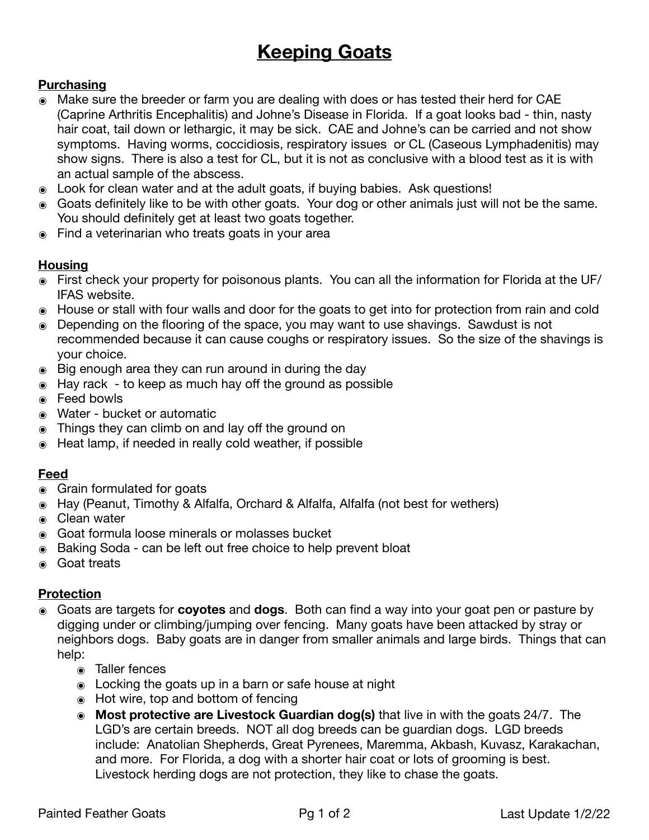# **Keeping Goats**

# **Purchasing**

- ๏ Make sure the breeder or farm you are dealing with does or has tested their herd for CAE (Caprine Arthritis Encephalitis) and Johne's Disease in Florida. If a goat looks bad - thin, nasty hair coat, tail down or lethargic, it may be sick. CAE and Johne's can be carried and not show symptoms. Having worms, coccidiosis, respiratory issues or CL (Caseous Lymphadenitis) may show signs. There is also a test for CL, but it is not as conclusive with a blood test as it is with an actual sample of the abscess.
- ๏ Look for clean water and at the adult goats, if buying babies. Ask questions!
- ๏ Goats definitely like to be with other goats. Your dog or other animals just will not be the same. You should definitely get at least two goats together.
- ๏ Find a veterinarian who treats goats in your area

#### **Housing**

- ๏ First check your property for poisonous plants. You can all the information for Florida at the UF/ IFAS website.
- ๏ House or stall with four walls and door for the goats to get into for protection from rain and cold
- ๏ Depending on the flooring of the space, you may want to use shavings. Sawdust is not recommended because it can cause coughs or respiratory issues. So the size of the shavings is your choice.
- ๏ Big enough area they can run around in during the day
- ๏ Hay rack to keep as much hay off the ground as possible
- ๏ Feed bowls
- ๏ Water bucket or automatic
- ๏ Things they can climb on and lay off the ground on
- Heat lamp, if needed in really cold weather, if possible

#### **Feed**

- ๏ Grain formulated for goats
- ๏ Hay (Peanut, Timothy & Alfalfa, Orchard & Alfalfa, Alfalfa (not best for wethers)
- ๏ Clean water
- Goat formula loose minerals or molasses bucket
- ๏ Baking Soda can be left out free choice to help prevent bloat
- ๏ Goat treats

#### **Protection**

- ๏ Goats are targets for **coyotes** and **dogs**. Both can find a way into your goat pen or pasture by digging under or climbing/jumping over fencing. Many goats have been attacked by stray or neighbors dogs. Baby goats are in danger from smaller animals and large birds. Things that can help:
	- ๏ Taller fences
	- ๏ Locking the goats up in a barn or safe house at night
	- ๏ Hot wire, top and bottom of fencing
	- ๏ **Most protective are Livestock Guardian dog(s)** that live in with the goats 24/7. The LGD's are certain breeds. NOT all dog breeds can be guardian dogs. LGD breeds include: Anatolian Shepherds, Great Pyrenees, Maremma, Akbash, Kuvasz, Karakachan, and more. For Florida, a dog with a shorter hair coat or lots of grooming is best. Livestock herding dogs are not protection, they like to chase the goats.